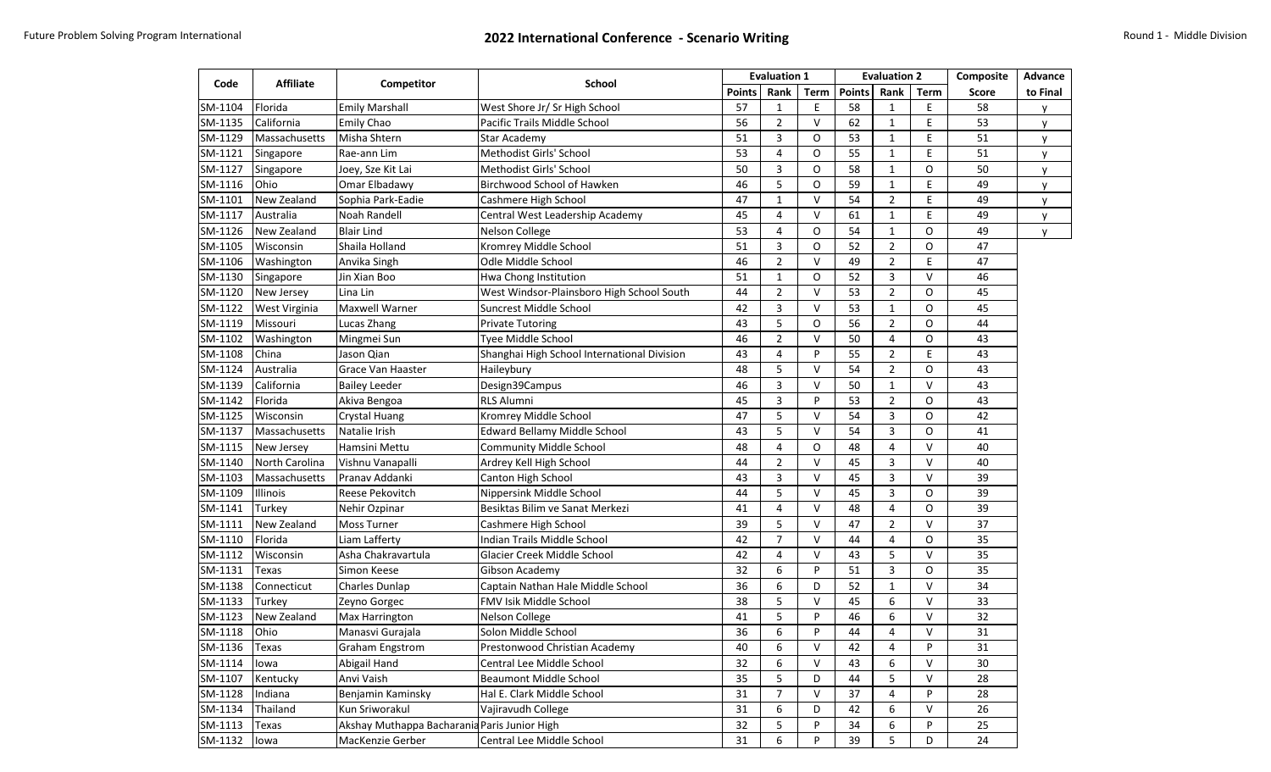| Code         | <b>Affiliate</b> | Competitor                                   |                                             | <b>Evaluation 1</b> |                       |             | <b>Evaluation 2</b> |                |             | Composite | <b>Advance</b> |
|--------------|------------------|----------------------------------------------|---------------------------------------------|---------------------|-----------------------|-------------|---------------------|----------------|-------------|-----------|----------------|
|              |                  |                                              | School                                      |                     | Rank<br><b>Points</b> | <b>Term</b> | <b>Points</b>       | Rank           | <b>Term</b> | Score     | to Final       |
| SM-1104      | Florida          | <b>Emily Marshall</b>                        | West Shore Jr/ Sr High School               | 57                  | $\mathbf{1}$          | E           | 58                  | $\mathbf{1}$   | E           | 58        | у              |
| SM-1135      | California       | <b>Emily Chao</b>                            | Pacific Trails Middle School                | 56                  | $\overline{2}$        | $\vee$      | 62                  | $\mathbf{1}$   | E           | 53        | y              |
| SM-1129      | Massachusetts    | Misha Shtern                                 | <b>Star Academy</b>                         | 51                  | 3                     | O           | 53                  | 1              | E           | 51        | V              |
| SM-1121      | Singapore        | Rae-ann Lim                                  | Methodist Girls' School                     | 53                  | 4                     | O           | 55                  | $\mathbf{1}$   | E           | 51        | y              |
| SM-1127      | Singapore        | Joey, Sze Kit Lai                            | Methodist Girls' School                     | 50                  | 3                     | O           | 58                  | $\mathbf{1}$   | 0           | 50        | v              |
| SM-1116      | Ohio             | Omar Elbadawy                                | Birchwood School of Hawken                  | 46                  | 5                     | O           | 59                  | 1              | E           | 49        | V              |
| SM-1101      | New Zealand      | Sophia Park-Eadie                            | Cashmere High School                        | 47                  | $\mathbf{1}$          | $\vee$      | 54                  | $\overline{2}$ | E           | 49        | y              |
| SM-1117      | Australia        | Noah Randell                                 | Central West Leadership Academy             | 45                  | 4                     | $\vee$      | 61                  | $\mathbf{1}$   | E           | 49        | V              |
| SM-1126      | New Zealand      | <b>Blair Lind</b>                            | Nelson College                              | 53                  | 4                     | O           | 54                  | $\mathbf{1}$   | 0           | 49        | y              |
| SM-1105      | Wisconsin        | Shaila Holland                               | Kromrey Middle School                       | 51                  | 3                     | O           | 52                  | $\overline{2}$ | O           | 47        |                |
| SM-1106      | Washington       | Anvika Singh                                 | Odle Middle School                          | 46                  | $\overline{2}$        | $\vee$      | 49                  | $\overline{2}$ | E           | 47        |                |
| SM-1130      | Singapore        | Jin Xian Boo                                 | Hwa Chong Institution                       | 51                  | $\mathbf{1}$          | O           | 52                  | 3              | V           | 46        |                |
| SM-1120      | New Jersey       | Lina Lin                                     | West Windsor-Plainsboro High School South   | 44                  | $\overline{2}$        | $\vee$      | 53                  | $\overline{2}$ | 0           | 45        |                |
| SM-1122      | West Virginia    | <b>Maxwell Warner</b>                        | Suncrest Middle School                      | 42                  | 3                     | $\vee$      | 53                  | $\mathbf{1}$   | O           | 45        |                |
| SM-1119      | Missouri         | Lucas Zhang                                  | <b>Private Tutoring</b>                     | 43                  | 5                     | O           | 56                  | $\overline{2}$ | O           | 44        |                |
| SM-1102      | Washington       | Mingmei Sun                                  | <b>Tyee Middle School</b>                   | 46                  | $\overline{2}$        | $\vee$      | 50                  | 4              | 0           | 43        |                |
| SM-1108      | China            | Jason Qian                                   | Shanghai High School International Division | 43                  | 4                     | P           | 55                  | $\overline{2}$ | E           | 43        |                |
| SM-1124      | Australia        | Grace Van Haaster                            | Haileybury                                  | 48                  | 5                     | $\vee$      | 54                  | $\overline{2}$ | 0           | 43        |                |
| SM-1139      | California       | <b>Bailey Leeder</b>                         | Design39Campus                              | 46                  | 3                     | $\vee$      | 50                  | $\mathbf{1}$   | V           | 43        |                |
| SM-1142      | Florida          | Akiva Bengoa                                 | <b>RLS Alumni</b>                           | 45                  | 3                     | P           | 53                  | $\overline{2}$ | 0           | 43        |                |
| SM-1125      | Wisconsin        | <b>Crystal Huang</b>                         | Kromrey Middle School                       | 47                  | 5                     | $\vee$      | 54                  | 3              | 0           | 42        |                |
| SM-1137      | Massachusetts    | Natalie Irish                                | Edward Bellamy Middle School                | 43                  | 5                     | $\vee$      | 54                  | 3              | 0           | 41        |                |
| SM-1115      | New Jersey       | Hamsini Mettu                                | <b>Community Middle School</b>              | 48                  | 4                     | O           | 48                  | 4              | V           | 40        |                |
| SM-1140      | North Carolina   | Vishnu Vanapalli                             | Ardrey Kell High School                     | 44                  | $\overline{2}$        | $\vee$      | 45                  | 3              | V           | 40        |                |
| SM-1103      | Massachusetts    | Pranav Addanki                               | Canton High School                          | 43                  | 3                     | $\vee$      | 45                  | 3              | V           | 39        |                |
| SM-1109      | Illinois         | <b>Reese Pekovitch</b>                       | Nippersink Middle School                    | 44                  | 5                     | $\vee$      | 45                  | 3              | 0           | 39        |                |
| SM-1141      | Turkey           | Nehir Ozpinar                                | Besiktas Bilim ve Sanat Merkezi             | 41                  | 4                     | $\vee$      | 48                  | 4              | O           | 39        |                |
| SM-1111      | New Zealand      | <b>Moss Turner</b>                           | Cashmere High School                        | 39                  | 5                     | $\vee$      | 47                  | $\overline{2}$ | V           | 37        |                |
| SM-1110      | Florida          | Liam Lafferty                                | Indian Trails Middle School                 | 42                  | $\overline{7}$        | $\vee$      | 44                  | 4              | 0           | 35        |                |
| SM-1112      | Wisconsin        | Asha Chakravartula                           | Glacier Creek Middle School                 | 42                  | 4                     | $\vee$      | 43                  | 5              | V           | 35        |                |
| SM-1131      | Texas            | Simon Keese                                  | Gibson Academy                              | 32                  | 6                     | P           | 51                  | 3              | 0           | 35        |                |
| SM-1138      | Connecticut      | <b>Charles Dunlap</b>                        | Captain Nathan Hale Middle School           | 36                  | 6                     | D           | 52                  | $\mathbf{1}$   | V           | 34        |                |
| SM-1133      | Turkey           | Zeyno Gorgec                                 | FMV Isik Middle School                      | 38                  | 5                     | $\vee$      | 45                  | 6              | V           | 33        |                |
| SM-1123      | New Zealand      | <b>Max Harrington</b>                        | <b>Nelson College</b>                       | 41                  | 5                     | P           | 46                  | 6              | V           | 32        |                |
| SM-1118 Ohio |                  | Manasvi Gurajala                             | Solon Middle School                         | 36                  | 6                     | P           | 44                  | 4              | $\vee$      | 31        |                |
| SM-1136      | Texas            | <b>Graham Engstrom</b>                       | Prestonwood Christian Academy               | 40                  | 6                     | $\vee$      | 42                  | 4              | P           | 31        |                |
| SM-1114      | lowa             | Abigail Hand                                 | Central Lee Middle School                   | 32                  | 6                     | $\vee$      | 43                  | 6              | V           | 30        |                |
| SM-1107      | Kentucky         | Anvi Vaish                                   | Beaumont Middle School                      | 35                  | 5                     | D           | 44                  | 5              | V           | 28        |                |
| SM-1128      | Indiana          | Benjamin Kaminsky                            | Hal E. Clark Middle School                  | 31                  | $\overline{7}$        | $\vee$      | 37                  | 4              | P           | 28        |                |
| SM-1134      | Thailand         | Kun Sriworakul                               | Vajiravudh College                          | 31                  | 6                     | D           | 42                  | 6              | V           | 26        |                |
| SM-1113      | Texas            | Akshay Muthappa Bacharania Paris Junior High |                                             | 32                  | 5                     | P           | 34                  | 6              | P           | 25        |                |
| SM-1132      | lowa             | MacKenzie Gerber                             | Central Lee Middle School                   | 31                  | 6                     | P           | 39                  | 5              | D           | 24        |                |